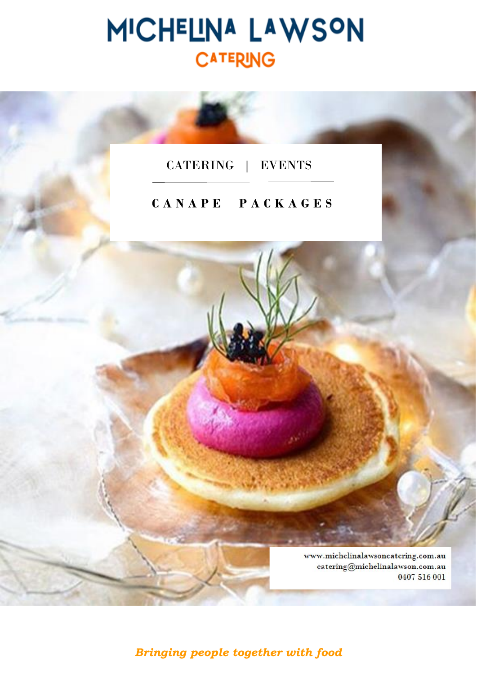# MICHELINA LAWSON **CATERING**

## CATERING | EVENTS

## **C A N A P E P A C K A G E S**

www.michelinalawsoncatering.com.au catering@michelinalawson.com.au 0407 516 001

*Bringing people together with food*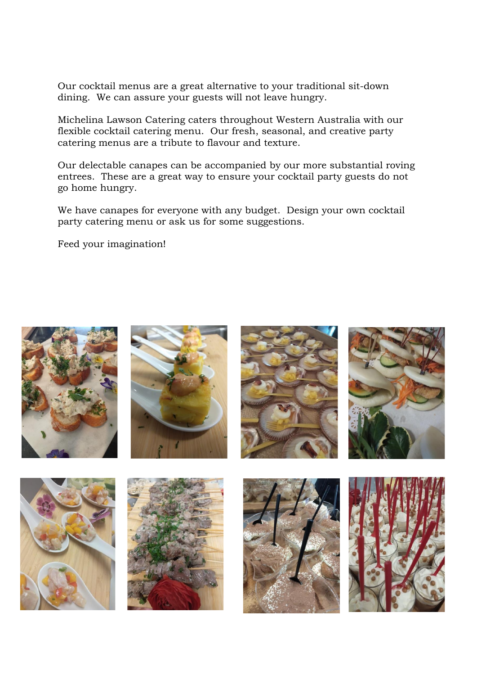Our cocktail menus are a great alternative to your traditional sit-down dining. We can assure your guests will not leave hungry.

Michelina Lawson Catering caters throughout Western Australia with our flexible cocktail catering menu. Our fresh, seasonal, and creative party catering menus are a tribute to flavour and texture.

Our delectable canapes can be accompanied by our more substantial roving entrees. These are a great way to ensure your cocktail party guests do not go home hungry.

We have canapes for everyone with any budget. Design your own cocktail party catering menu or ask us for some suggestions.

Feed your imagination!

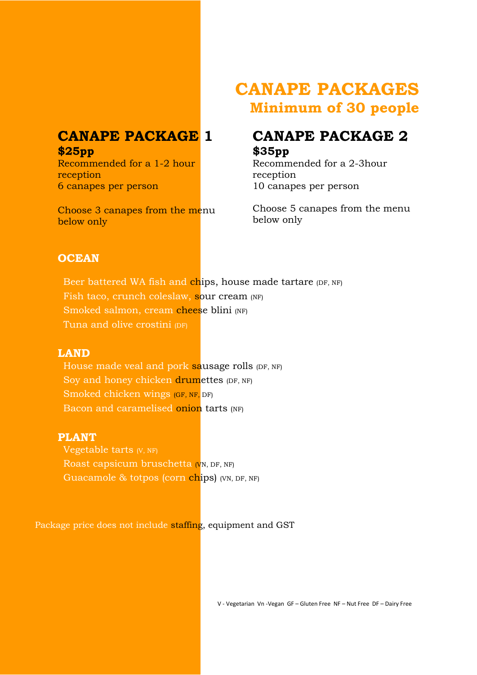## **CANAPE PACKAGE 1 \$25pp**

Recommended for a 1-2 hour reception 6 canapes per person

Choose 3 canapes from the menu below only

# **CANAPE PACKAGES Minimum of 30 people**

## **CANAPE PACKAGE 2 \$35pp**

Recommended for a 2-3hour reception 10 canapes per person

Choose 5 canapes from the menu below only

## **OCEAN**

Beer battered WA fish and chips, house made tartare (DF, NF) Fish taco, crunch coleslaw, sour cream (NF) Smoked salmon, cream cheese blini (NF) Tuna and olive crostini (DF)

## **LAND**

House made veal and pork sausage rolls (DF, NF) Soy and honey chicken drumettes (DF, NF) Smoked chicken wings (GF, NF, DF) Bacon and caramelised onion tarts (NF)

## **PLANT**

Vegetable tarts (V, NF) Roast capsicum bruschetta (V<sub>N</sub>, DF, NF) Guacamole & totpos (corn chips) (VN, DF, NF)

Package price does not include staffing, equipment and GST

V - Vegetarian Vn -Vegan GF – Gluten Free NF – Nut Free DF – Dairy Free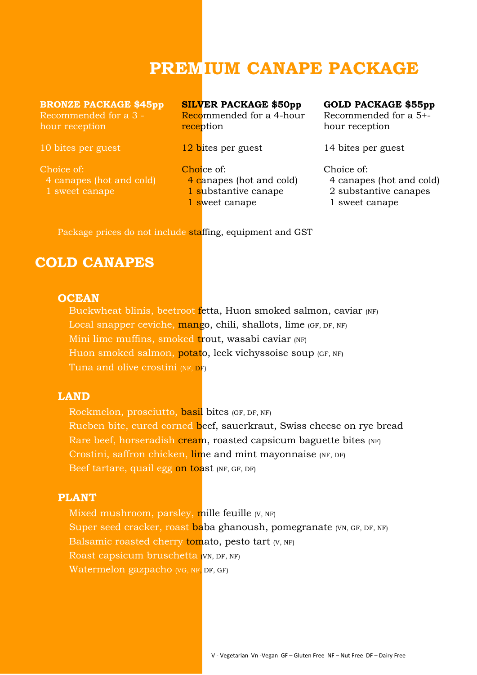# **PREMIUM CANAPE PACKAGE**

**BRONZE PACKAGE \$45pp** Recommended for a 3 -

hour reception

10 bites per guest

Choice of: 4 canapes (hot and cold) 1 sweet canape

**SILVER PACKAGE \$50pp**

Recommended for a 4-hour reception

12 bites per guest

Choice of:

- 4 canapes (hot and cold)
- 1 substantive canape

1 sweet canape

#### **GOLD PACKAGE \$55pp**

Recommended for a 5+ hour reception

14 bites per guest

Choice of:

4 canapes (hot and cold)

2 substantive canapes

1 sweet canape

Package prices do not include staffing, equipment and GST

## **COLD CANAPES**

#### **OCEAN**

Buckwheat blinis, beetroot fetta, Huon smoked salmon, caviar (NF) Local snapper ceviche, mango, chili, shallots, lime (GF, DF, NF) Mini lime muffins, smoked trout, wasabi caviar (NF) Huon smoked salmon, potato, leek vichyssoise soup (GF, NF) Tuna and olive crostini (NF, DF)

## **LAND**

Rockmelon, prosciutto, basil bites (GF, DF, NF) Rueben bite, cured corned beef, sauerkraut, Swiss cheese on rye bread Rare beef, horseradish cream, roasted capsicum baguette bites (NF) Crostini, saffron chicken, lime and mint mayonnaise (NF, DF) Beef tartare, quail egg on toast (NF, GF, DF)

#### **PLANT**

Mixed mushroom, parsley, mille feuille (V, NF) Super seed cracker, roast baba ghanoush, pomegranate (VN, GF, DF, NF) Balsamic roasted cherry tomato, pesto tart  $(V, NF)$ Roast capsicum bruschetta (VN, DF, NF) Watermelon gazpacho (VG, NF, DF, GF)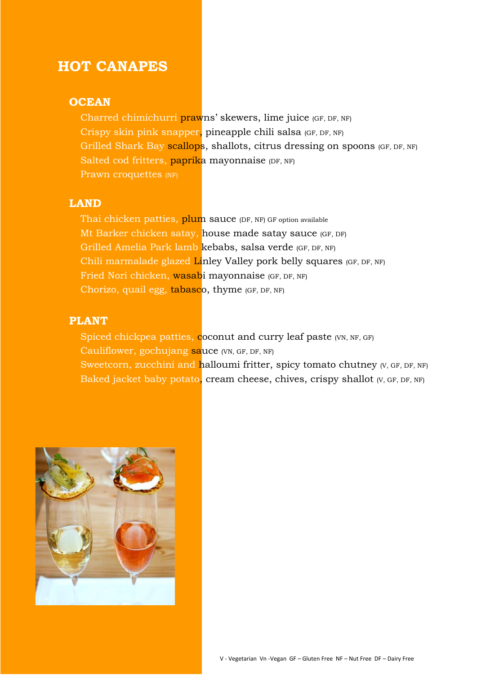## **HOT CANAPES**

#### **OCEAN**

Charred chimichurri prawns' skewers, lime juice (GF, DF, NF) Crispy skin pink snapper, pineapple chili salsa (GF, DF, NF) Grilled Shark Bay scallops, shallots, citrus dressing on spoons (GF, DF, NF) Salted cod fritters, paprika mayonnaise (DF, NF) Prawn croquettes (NF)

#### **LAND**

Thai chicken patties, plum sauce (DF, NF) GF option available Mt Barker chicken satay, house made satay sauce (GF, DF) Grilled Amelia Park lamb kebabs, salsa verde (GF, DF, NF) Chili marmalade glazed Linley Valley pork belly squares (GF, DF, NF) Fried Nori chicken, wasabi mayonnaise (GF, DF, NF) Chorizo, quail egg, tabasco, thyme (GF, DF, NF)

#### **PLANT**

Spiced chickpea patties, coconut and curry leaf paste (VN, NF, GF) Cauliflower, gochujang sauce (VN, GF, DF, NF) Sweetcorn, zucchini and halloumi fritter, spicy tomato chutney (V, GF, DF, NF) Baked jacket baby potato, cream cheese, chives, crispy shallot (V, GF, DF, NF)

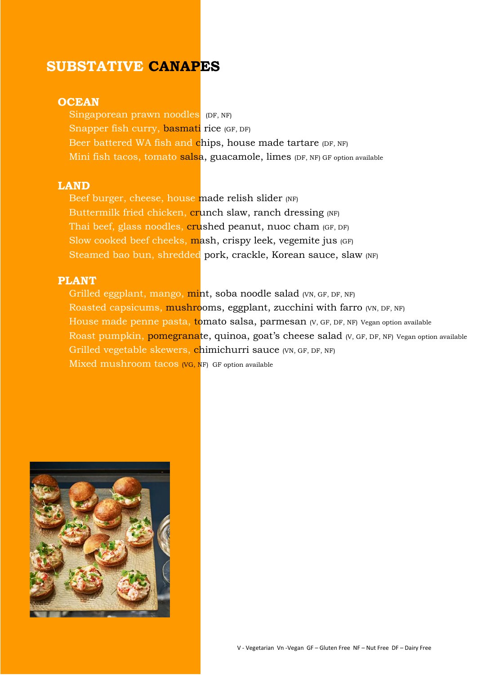## **SUBSTATIVE CANAPES**

#### **OCEAN**

Singaporean prawn noodles (DF, NF) Snapper fish curry, basmati rice (GF, DF) Beer battered WA fish and chips, house made tartare (DF, NF) Mini fish tacos, tomato salsa, guacamole, limes (DF, NF) GF option available

#### **LAND**

Beef burger, cheese, house made relish slider (NF) Buttermilk fried chicken, crunch slaw, ranch dressing (NF) Thai beef, glass noodles, crushed peanut, nuoc cham (GF, DF) Slow cooked beef cheeks, mash, crispy leek, vegemite jus (GF) Steamed bao bun, shredded pork, crackle, Korean sauce, slaw (NF)

## **PLANT**

Grilled eggplant, mango, mint, soba noodle salad (VN, GF, DF, NF) Roasted capsicums, mushrooms, eggplant, zucchini with farro (VN, DF, NF) House made penne pasta, tomato salsa, parmesan (V, GF, DF, NF) Vegan option available Roast pumpkin, pomegranate, quinoa, goat's cheese salad (V, GF, DF, NF) Vegan option available Grilled vegetable skewers, chimichurri sauce (VN, GF, DF, NF) Mixed mushroom tacos (VG, NF) GF option available

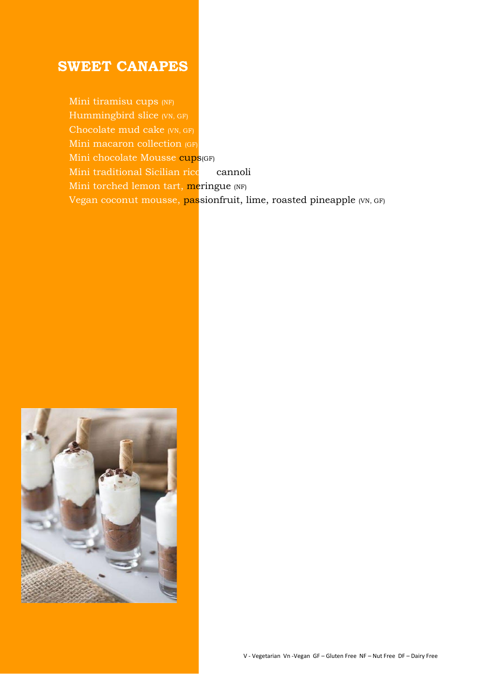## **SWEET CANAPES**

Mini tiramisu cups (NF) Hummingbird slice (VN, GF) Chocolate mud cake (VN, GF) Mini macaron collection (GF) Mini chocolate Mousse cups(GF) Mini traditional Sicilian ricotta cannoli Mini torched lemon tart, meringue (NF) Vegan coconut mousse, passionfruit, lime, roasted pineapple (VN, GF)